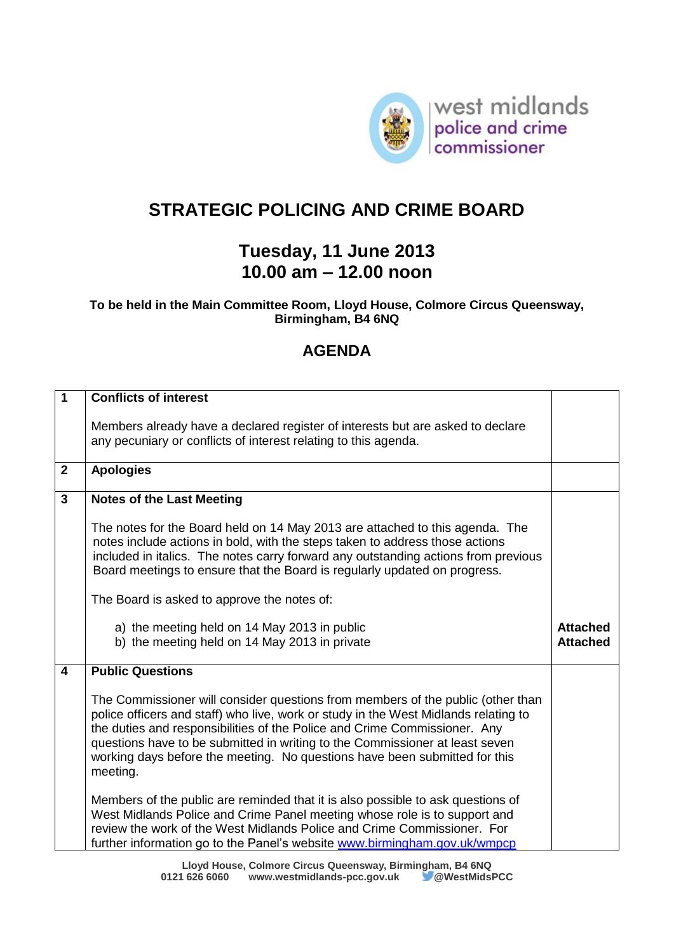

## **STRATEGIC POLICING AND CRIME BOARD**

## **Tuesday, 11 June 2013 10.00 am – 12.00 noon**

## **To be held in the Main Committee Room, Lloyd House, Colmore Circus Queensway, Birmingham, B4 6NQ**

## **AGENDA**

| $\overline{1}$          | <b>Conflicts of interest</b>                                                                                                                                                                                                                                                                                                                                                                                                  |                                    |
|-------------------------|-------------------------------------------------------------------------------------------------------------------------------------------------------------------------------------------------------------------------------------------------------------------------------------------------------------------------------------------------------------------------------------------------------------------------------|------------------------------------|
|                         | Members already have a declared register of interests but are asked to declare<br>any pecuniary or conflicts of interest relating to this agenda.                                                                                                                                                                                                                                                                             |                                    |
| $\mathbf{2}$            | <b>Apologies</b>                                                                                                                                                                                                                                                                                                                                                                                                              |                                    |
| $\overline{3}$          | <b>Notes of the Last Meeting</b>                                                                                                                                                                                                                                                                                                                                                                                              |                                    |
|                         | The notes for the Board held on 14 May 2013 are attached to this agenda. The<br>notes include actions in bold, with the steps taken to address those actions<br>included in italics. The notes carry forward any outstanding actions from previous<br>Board meetings to ensure that the Board is regularly updated on progress.                                                                                               |                                    |
|                         | The Board is asked to approve the notes of:                                                                                                                                                                                                                                                                                                                                                                                   |                                    |
|                         | a) the meeting held on 14 May 2013 in public<br>b) the meeting held on 14 May 2013 in private                                                                                                                                                                                                                                                                                                                                 | <b>Attached</b><br><b>Attached</b> |
| $\overline{\mathbf{4}}$ | <b>Public Questions</b>                                                                                                                                                                                                                                                                                                                                                                                                       |                                    |
|                         | The Commissioner will consider questions from members of the public (other than<br>police officers and staff) who live, work or study in the West Midlands relating to<br>the duties and responsibilities of the Police and Crime Commissioner. Any<br>questions have to be submitted in writing to the Commissioner at least seven<br>working days before the meeting. No questions have been submitted for this<br>meeting. |                                    |
|                         | Members of the public are reminded that it is also possible to ask questions of                                                                                                                                                                                                                                                                                                                                               |                                    |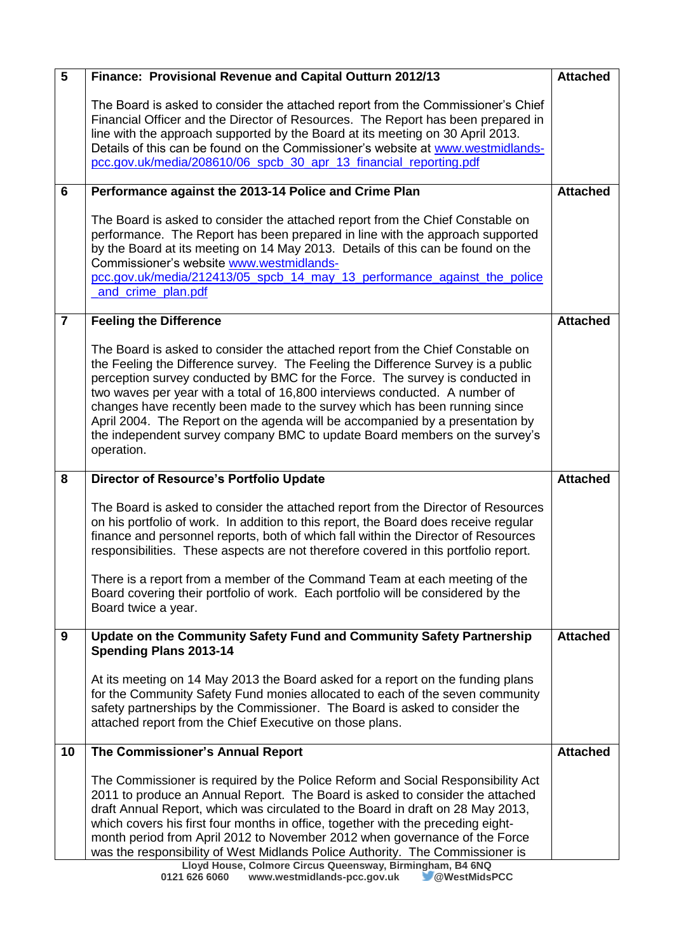| $\overline{5}$ | Finance: Provisional Revenue and Capital Outturn 2012/13                                                                                                                                                                                                                                                                                                                                                                                                                                                                                                                                                                                   | <b>Attached</b> |
|----------------|--------------------------------------------------------------------------------------------------------------------------------------------------------------------------------------------------------------------------------------------------------------------------------------------------------------------------------------------------------------------------------------------------------------------------------------------------------------------------------------------------------------------------------------------------------------------------------------------------------------------------------------------|-----------------|
|                | The Board is asked to consider the attached report from the Commissioner's Chief<br>Financial Officer and the Director of Resources. The Report has been prepared in<br>line with the approach supported by the Board at its meeting on 30 April 2013.<br>Details of this can be found on the Commissioner's website at www.westmidlands-<br>pcc.gov.uk/media/208610/06_spcb_30_apr_13_financial_reporting.pdf                                                                                                                                                                                                                             |                 |
| 6              | Performance against the 2013-14 Police and Crime Plan                                                                                                                                                                                                                                                                                                                                                                                                                                                                                                                                                                                      | <b>Attached</b> |
|                | The Board is asked to consider the attached report from the Chief Constable on<br>performance. The Report has been prepared in line with the approach supported<br>by the Board at its meeting on 14 May 2013. Details of this can be found on the<br>Commissioner's website www.westmidlands-<br>pcc.gov.uk/media/212413/05 spcb 14 may 13 performance against the police<br>and crime plan.pdf                                                                                                                                                                                                                                           |                 |
| $\overline{7}$ | <b>Feeling the Difference</b>                                                                                                                                                                                                                                                                                                                                                                                                                                                                                                                                                                                                              | <b>Attached</b> |
|                | The Board is asked to consider the attached report from the Chief Constable on<br>the Feeling the Difference survey. The Feeling the Difference Survey is a public<br>perception survey conducted by BMC for the Force. The survey is conducted in<br>two waves per year with a total of 16,800 interviews conducted. A number of<br>changes have recently been made to the survey which has been running since<br>April 2004. The Report on the agenda will be accompanied by a presentation by<br>the independent survey company BMC to update Board members on the survey's<br>operation.                                               |                 |
| 8              | Director of Resource's Portfolio Update                                                                                                                                                                                                                                                                                                                                                                                                                                                                                                                                                                                                    | <b>Attached</b> |
|                | The Board is asked to consider the attached report from the Director of Resources<br>on his portfolio of work. In addition to this report, the Board does receive regular<br>finance and personnel reports, both of which fall within the Director of Resources<br>responsibilities. These aspects are not therefore covered in this portfolio report.<br>There is a report from a member of the Command Team at each meeting of the<br>Board covering their portfolio of work. Each portfolio will be considered by the<br>Board twice a year.                                                                                            |                 |
| 9              | Update on the Community Safety Fund and Community Safety Partnership<br><b>Spending Plans 2013-14</b>                                                                                                                                                                                                                                                                                                                                                                                                                                                                                                                                      | <b>Attached</b> |
|                | At its meeting on 14 May 2013 the Board asked for a report on the funding plans<br>for the Community Safety Fund monies allocated to each of the seven community<br>safety partnerships by the Commissioner. The Board is asked to consider the<br>attached report from the Chief Executive on those plans.                                                                                                                                                                                                                                                                                                                                |                 |
| 10             | The Commissioner's Annual Report                                                                                                                                                                                                                                                                                                                                                                                                                                                                                                                                                                                                           | <b>Attached</b> |
|                | The Commissioner is required by the Police Reform and Social Responsibility Act<br>2011 to produce an Annual Report. The Board is asked to consider the attached<br>draft Annual Report, which was circulated to the Board in draft on 28 May 2013,<br>which covers his first four months in office, together with the preceding eight-<br>month period from April 2012 to November 2012 when governance of the Force<br>was the responsibility of West Midlands Police Authority. The Commissioner is<br>Lloyd House, Colmore Circus Queensway, Birmingham, B4 6NQ<br>0121 626 6060<br>www.westmidlands-pcc.gov.uk<br><b>OWestMidsPCC</b> |                 |